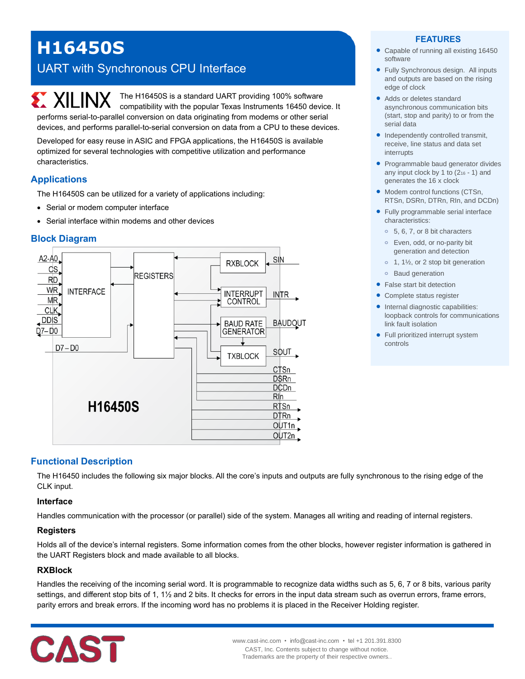# **H16450S**

## UART with Synchronous CPU Interface

**EXALINX** The H16450S is a standard UART providing 100% software compatibility with the popular Texas Instruments 16450 device. It performs serial-to-parallel conversion on data originating from modems or other serial devices, and performs parallel-to-serial conversion on data from a CPU to these devices.

Developed for easy reuse in ASIC and FPGA applications, the H16450S is available optimized for several technologies with competitive utilization and performance characteristics.

## **Applications**

The H16450S can be utilized for a variety of applications including:

- Serial or modem computer interface
- Serial interface within modems and other devices

## **Block Diagram**



#### **FEATURES**

- Capable of running all existing 16450 software
- Fully Synchronous design. All inputs and outputs are based on the rising edge of clock
- Adds or deletes standard asynchronous communication bits (start, stop and parity) to or from the serial data
- Independently controlled transmit, receive, line status and data set interrupts
- Programmable baud generator divides any input clock by 1 to (2<sup>16</sup> - 1) and generates the 16 x clock
- Modem control functions (CTSn, RTSn, DSRn, DTRn, RIn, and DCDn)
- Fully programmable serial interface characteristics:
	- **o** 5, 6, 7, or 8 bit characters
	- **o** Even, odd, or no-parity bit generation and detection
	- **o** 1, 1½, or 2 stop bit generation
	- **o** Baud generation
- False start bit detection
- Complete status register
- Internal diagnostic capabilities: loopback controls for communications link fault isolation
- Full prioritized interrupt system controls

## **Functional Description**

The H16450 includes the following six major blocks. All the core's inputs and outputs are fully synchronous to the rising edge of the CLK input.

#### **Interface**

Handles communication with the processor (or parallel) side of the system. Manages all writing and reading of internal registers.

#### **Registers**

Holds all of the device's internal registers. Some information comes from the other blocks, however register information is gathered in the UART Registers block and made available to all blocks.

#### **RXBlock**

Handles the receiving of the incoming serial word. It is programmable to recognize data widths such as 5, 6, 7 or 8 bits, various parity settings, and different stop bits of 1, 1½ and 2 bits. It checks for errors in the input data stream such as overrun errors, frame errors, parity errors and break errors. If the incoming word has no problems it is placed in the Receiver Holding register.